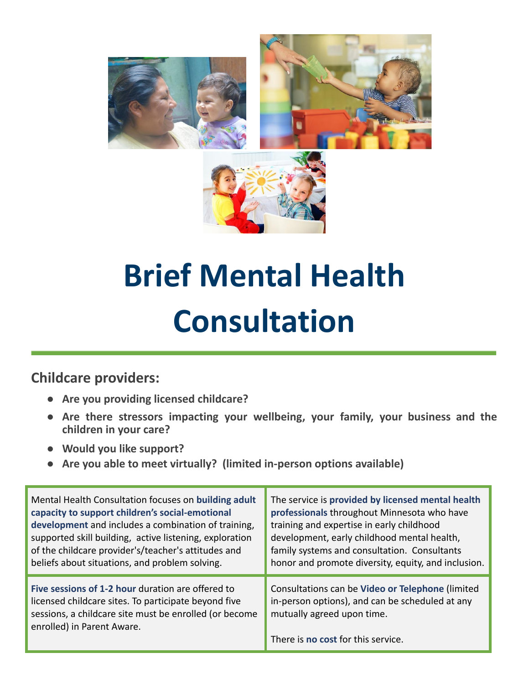

# **Brief Mental Health Consultation**

### **Childcare providers:**

- **● Are you providing licensed childcare?**
- **● Are there stressors impacting your wellbeing, your family, your business and the children in your care?**
- **● Would you like support?**
- **● Are you able to meet virtually? (limited in-person options available)**

| Mental Health Consultation focuses on building adult    | The service is provided by licensed mental health   |
|---------------------------------------------------------|-----------------------------------------------------|
| capacity to support children's social-emotional         | professionals throughout Minnesota who have         |
| development and includes a combination of training,     | training and expertise in early childhood           |
| supported skill building, active listening, exploration | development, early childhood mental health,         |
| of the childcare provider's/teacher's attitudes and     | family systems and consultation. Consultants        |
| beliefs about situations, and problem solving.          | honor and promote diversity, equity, and inclusion. |
| Five sessions of 1-2 hour duration are offered to       | Consultations can be Video or Telephone (limited    |
| licensed childcare sites. To participate beyond five    | in-person options), and can be scheduled at any     |
| sessions, a childcare site must be enrolled (or become  | mutually agreed upon time.                          |
| enrolled) in Parent Aware.                              | There is no cost for this service.                  |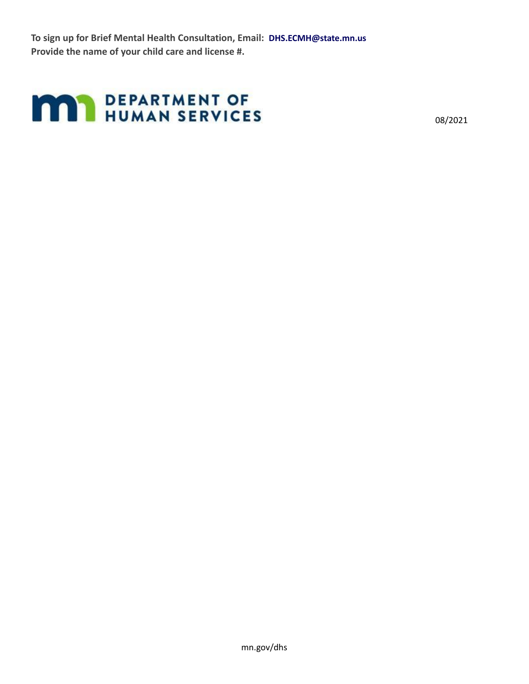**To sign up for Brief Mental Health Consultation, Email: DHS.ECMH@state.mn.us Provide the name of your child care and license #.**

## **MAY DEPARTMENT OF HUMAN SERVICES**

08/2021